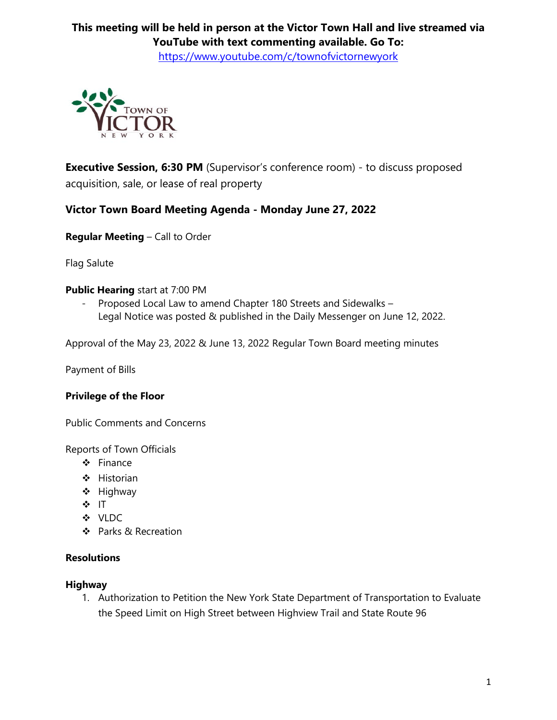# **This meeting will be held in person at the Victor Town Hall and live streamed via YouTube with text commenting available. Go To:**

<https://www.youtube.com/c/townofvictornewyork>



**Executive Session, 6:30 PM** (Supervisor's conference room) - to discuss proposed acquisition, sale, or lease of real property

## **Victor Town Board Meeting Agenda - Monday June 27, 2022**

**Regular Meeting** – Call to Order

Flag Salute

## **Public Hearing** start at 7:00 PM

- Proposed Local Law to amend Chapter 180 Streets and Sidewalks – Legal Notice was posted & published in the Daily Messenger on June 12, 2022.

Approval of the May 23, 2022 & June 13, 2022 Regular Town Board meeting minutes

Payment of Bills

## **Privilege of the Floor**

Public Comments and Concerns

Reports of Town Officials

- $\div$  Finance
- ❖ Historian
- $\div$  Highway
- ❖ IT
- VLDC
- ❖ Parks & Recreation

## **Resolutions**

#### **Highway**

1. Authorization to Petition the New York State Department of Transportation to Evaluate the Speed Limit on High Street between Highview Trail and State Route 96